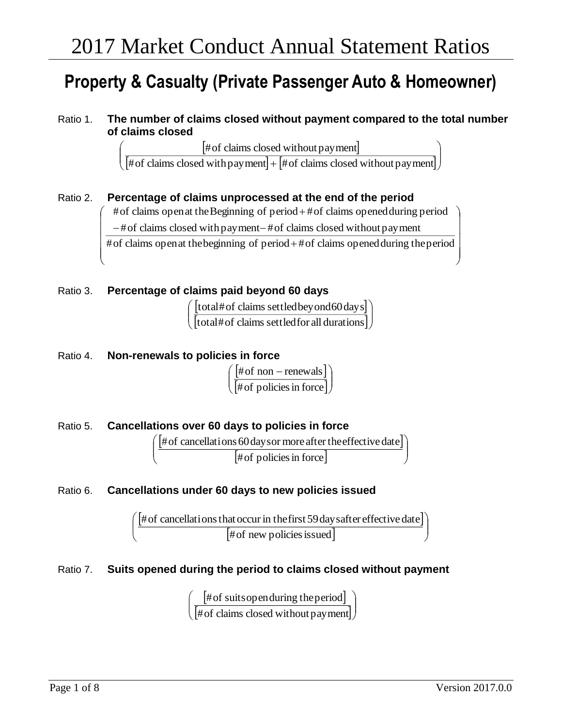# **Property & Casualty (Private Passenger Auto & Homeowner)**

Ratio 1. **The number of claims closed without payment compared to the total number of claims closed**

[#of claims closed without payment] #of claims closed withoutpayment

 $\big[\# \text{of claims closed with payment}\big] + \big[\# \text{of claims closed without payment}\big]\big)$  $\overline{\phantom{a}}$ J #of claims closed withpayment #of claims closed withoutpayment

## Ratio 2. **Percentage of claims unprocessed at the end of the period**

#of claims openat theBeginning of period + #of claims openedduring period

–#of claims closed with payment–#of claims closed without payment

 $\overline{\text{#of claims open at the beginning of period} + \text{#of claims opened during the period}}$ 

## Ratio 3. **Percentage of claims paid beyond 60 days**

 $[\text{total\#of claims settled}$  beyond  $60 \text{day s}]$  $\left[$ total#of claims settledfor all durations $\left]\right/$  $\backslash$  $\overline{\phantom{a}}$ J ſ total#of claims settledfor all durations total#of claims settledbeyond60days

### Ratio 4. **Non-renewals to policies in force**

ſ

 $\mathsf{I}$  $\mathbf{r}$ 

L

 $\mathbf{r}$  $\mathsf{L}$ 

ſ

 $[# of non-renewals]$  $[\text{\#of policies in force}]\big)$ )  $\overline{\phantom{a}}$ L  $\int$ # of non – #of policiesin force # of non  $-$  renewals

Ratio 5. **Cancellations over 60 days to policies in force**  $[$ # of cancellations 60 days or more after the effective date]  $[# of policies in force]$  )  $\backslash$  $\overline{\phantom{a}}$ l ſ #of policiesin force #of cancellations60daysor more aftertheeffectivedate

## Ratio 6. **Cancellations under 60 days to new policies issued**



## Ratio 7. **Suits opened during the period to claims closed without payment**

 $[$ # of suits open during the period $]$  $[\#$  of claims closed without payment] $\big)$ )  $\overline{\phantom{a}}$ l ſ #of claims closed withoutpayment #of suitsopenduring theperiod

l  $\backslash$ 

İ

J

l

 $\backslash$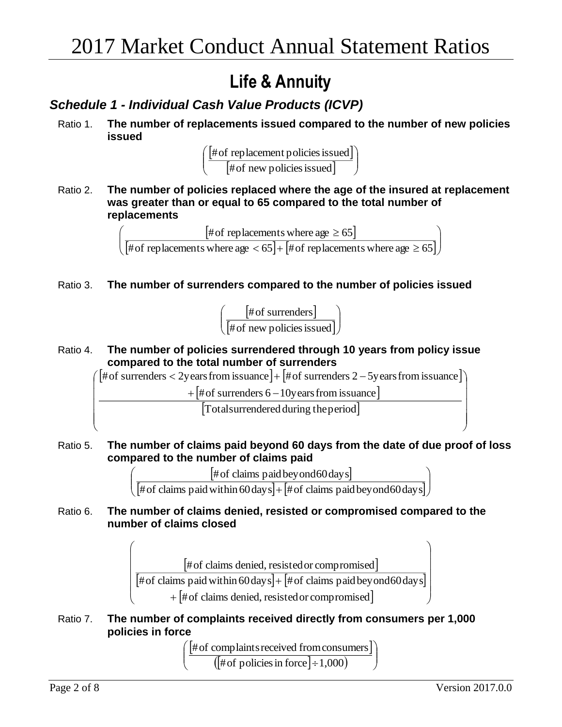# **Life & Annuity**

# *Schedule 1 - Individual Cash Value Products (ICVP)*

Ratio 1. **The number of replacements issued compared to the number of new policies issued** 



Ratio 2. **The number of policies replaced where the age of the insured at replacement was greater than or equal to 65 compared to the total number of replacements**

> $[# of replacements where age \geq 65]$  $\bigl[ \text{\#of replacements where age} < 65 \bigr] + \bigl[ \text{\#of replacements where age} \geq 65 \bigr] \bigr)$  $\backslash$  $\mathsf{I}$ J ſ  $<$  651+1#of replacements where age  $\ge$ ≥ #of replacements where age  $<$  65  $|$  +  $|$ #of replacements where age  $\ge$  65 # of replacements where age  $\geq 65$

Ratio 3. **The number of surrenders compared to the number of policies issued** 



Ratio 4. **The number of policies surrendered through 10 years from policy issue compared to the total number of surrenders**



Ratio 5. **The number of claims paid beyond 60 days from the date of due proof of loss compared to the number of claims paid** 

> $[# of claims paid beyond 60 days]$  $\big[\# \text{of claims paid within 60 days}\big] {+}\big[\# \text{of claims paid beyond 60 days}\big]\big)$  $\backslash$  $\overline{\phantom{a}}$ J ſ #of claims paidwithin60days #of claims paidbeyond60days #of claims paidbeyond60days

Ratio 6. **The number of claims denied, resisted or compromised compared to the number of claims closed** 

> # of claims denied, resisted or compromised # of claims paid within 60 days  $|+|$  # of claims paid beyond 60 days  $\left[\# \text{ of claims denied, resisted or compromised}\right]$  $\overline{\phantom{a}}$  $\mathsf{I}$  $\mathsf{I}$  $\mathsf{I}$  $\setminus$ ſ  $\ddot{}$  $\ddot{}$ #of claims denied, resistedor compromised # of claims paid within  $60 \text{ days}$  +  $\#$  of claims paid beyond  $60 \text{ days}$ #of claims denied, resistedor compromised

Ratio 7. **The number of complaints received directly from consumers per 1,000 policies in force** 

 $\overline{\phantom{a}}$ 

 $[$ # of complaints received from consumers $]$  $(\left[\text{\#of policies in force}\right]\div 1{,}000)$  )  $\backslash$ l ſ #of policies in force  $\mid$   $\div$  1,000 #of complaintsreceived fromconsumers

 $\overline{\phantom{a}}$  $\overline{\phantom{a}}$  $\overline{\phantom{a}}$ 

 $\setminus$ 

 $\int$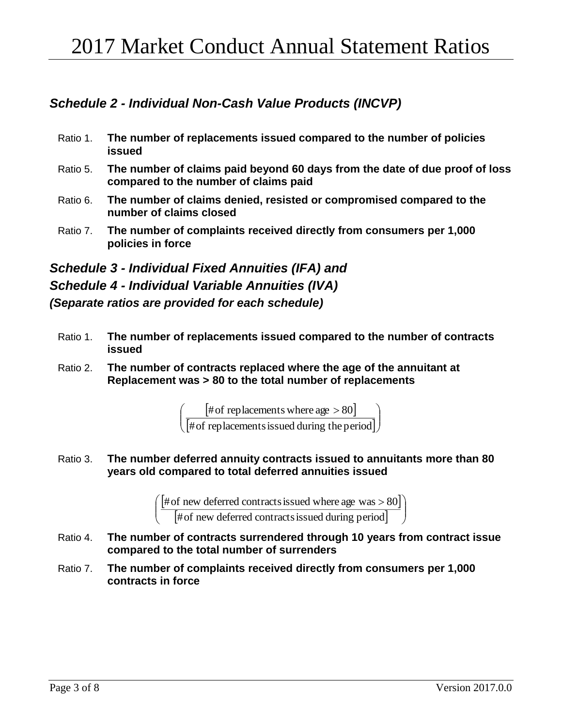# *Schedule 2 - Individual Non-Cash Value Products (INCVP)*

- Ratio 1. **The number of replacements issued compared to the number of policies issued**
- Ratio 5. **The number of claims paid beyond 60 days from the date of due proof of loss compared to the number of claims paid**
- Ratio 6. **The number of claims denied, resisted or compromised compared to the number of claims closed**
- Ratio 7. **The number of complaints received directly from consumers per 1,000 policies in force**

*Schedule 3 - Individual Fixed Annuities (IFA) and Schedule 4 - Individual Variable Annuities (IVA) (Separate ratios are provided for each schedule)*

- Ratio 1. **The number of replacements issued compared to the number of contracts issued**
- Ratio 2. **The number of contracts replaced where the age of the annuitant at Replacement was > 80 to the total number of replacements**

 $*$  + of replacements where age  $> 80$ ]  $\left[\text{\#of replacements} \, \text{is sued during the period}\right]$ )  $\overline{\phantom{a}}$ L  $\int$  =  $\int$ #of replacements where age > #of replacement sissued during the period #of replacements where age  $> \rm 80$ 

Ratio 3. **The number deferred annuity contracts issued to annuitants more than 80 years old compared to total deferred annuities issued**

> $[# of new deferred contracts issued where age was > 80]$  $\left[\text{\#of new deferred contracts} \text{is sued during period}\right] \quad \text{)}$ l l  $\backslash$  $\overline{\phantom{a}}$ J  $\int$  # of new deferred contracts issued where age was > #of new deferred contractsissued during period # of new deferred contracts issued where age  $was > 80$

- Ratio 4. **The number of contracts surrendered through 10 years from contract issue compared to the total number of surrenders**
- Ratio 7. **The number of complaints received directly from consumers per 1,000 contracts in force**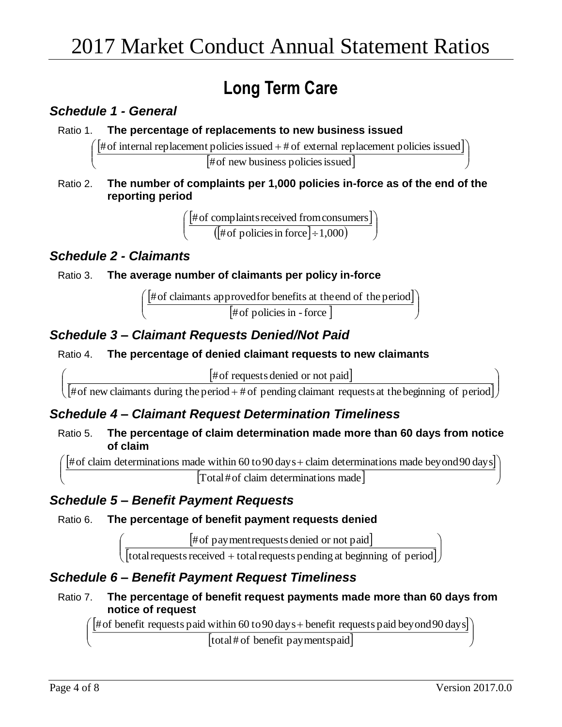# **Long Term Care**

## *Schedule 1 - General*

L  $\mathsf{L}$ L

ſ

## Ratio 1. **The percentage of replacements to new business issued**

 $\left(\frac{4}{100} + \frac{1}{100}\right)$  finternal replacement policies issued  $\frac{1}{100}$  $\backslash$ 

[#of new business policies issued]

Ratio 2. **The number of complaints per 1,000 policies in-force as of the end of the reporting period**

> $[$ # of complaints received from consumers $]$  $\frac{1}{2}$  ( $\frac{1}{2}$  + 01 complaints received from consult) J  $\backslash$ #of policies in force  $\mid$   $\div$  1,000 #of complaintsreceived fromconsumers

## *Schedule 2 - Claimants*

ſ

## Ratio 3. **The average number of claimants per policy in-force**

 $[$ #of claimants approved for benefits at the end of the period] [#of policies in - force] J  $\backslash$  $\mathbf{r}$  $\mathsf{I}$ l ſ #of claimants approvedfor benefits at theend of the period

# *Schedule 3 – Claimant Requests Denied/Not Paid*

l

ſ

## Ratio 4. **The percentage of denied claimant requests to new claimants**

 $\#$  of requests denied or not paid #of requests denied or not paid

 $\sqrt{\frac{1}{100}}$  requests defined of not paid  $\overline{\phantom{a}}$  $\overline{\phantom{a}}$  $\bigg)$  $\setminus$ # of new claimants during the period + # of pending claimant requests at the beginning of period

## *Schedule 4 – Claimant Request Determination Timeliness*

Ratio 5. **The percentage of claim determination made more than 60 days from notice of claim**

 $\bigl($  # of claim determinations made within 60 to 90 days + claim determinations made beyond 90 days] [Total#of claim determinations made] J )  $\mathsf{I}$  $\mathsf{L}$ L

## *Schedule 5 – Benefit Payment Requests*

## Ratio 6. **The percentage of benefit payment requests denied**

 $[$ #of payment requests denied or not paid $]$ #of payment requests denied or not paid

 $\left[\frac{1}{\text{total requests received} + \text{total requests pending at beginning of period}}\right]$ J L total requests received +total requests pending at beginning of period

# *Schedule 6 – Benefit Payment Request Timeliness*

Ratio 7. **The percentage of benefit request payments made more than 60 days from notice of request**

 $\bigl($  # of benefit requests paid within 60 to 90 days + benefit requests paid beyond 90 days] [total# of benefit paymentspaid] J  $\backslash$  $\mathsf{L}$  $\mathsf{L}$ J

I

)

J

)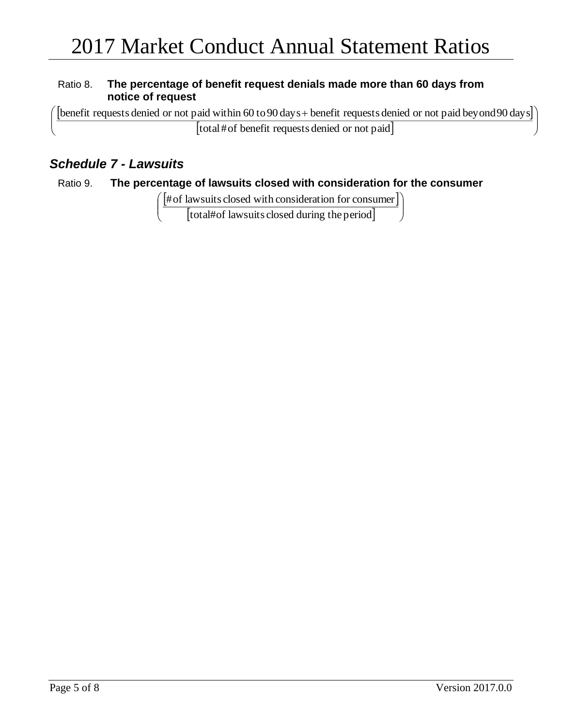## Ratio 8. **The percentage of benefit request denials made more than 60 days from notice of request**

 $\big(\,[$ benefit requests denied or not paid within 60 to 90 days + benefit requests denied or not paid beyond 90 days $]\big]$  $\backslash$ 

[total#of benefit requests denied or not paid]

## *Schedule 7 - Lawsuits*

 $\mathsf{I}$  $\mathsf{I}$ J

L L J

## Ratio 9. **The percentage of lawsuits closed with consideration for the consumer**

 $\left(\frac{4}{1000}\right)^{1/2}$  [#of lawsuits closed with consideration for consumer]]

[total#of lawsuits closed during the period]

J

J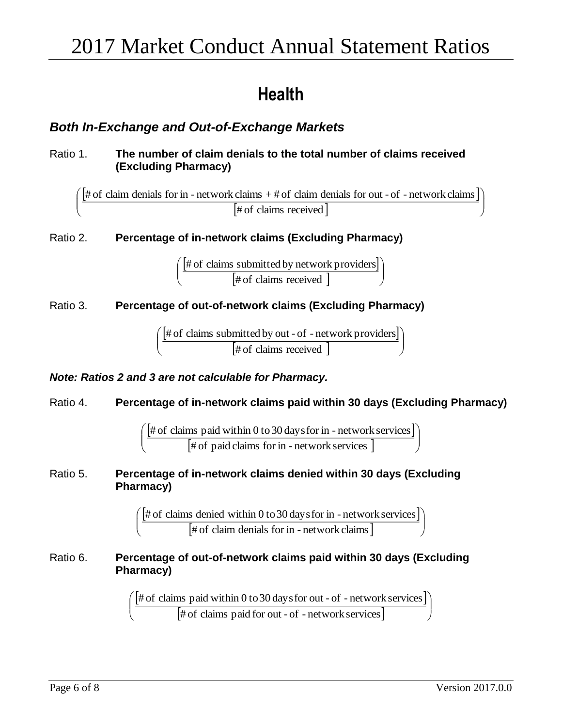# **Health**

# *Both In-Exchange and Out-of-Exchange Markets*

## Ratio 1. **The number of claim denials to the total number of claims received (Excluding Pharmacy)**

 $[$ # of claim denials for in - network claims + # of claim denials for out - of - network claims  $]$ [# of claims received] J  $\setminus$  $\overline{\phantom{a}}$ J  $\int [# \text{ of claim densities} for in - network claims + # of claim densities for out - of - network claims]$ 

Ratio 2. **Percentage of in-network claims (Excluding Pharmacy)** 

 $[$ # of claims submitted by network providers $]$  $[$ # of claims received  $]$   $\qquad$  $\backslash$ # of claims received # of claims submitted by network providers

## Ratio 3. **Percentage of out-of-network claims (Excluding Pharmacy)**

 $[$ # of claims submitted by out - of - network providers $]$  $[$ # of claims received  $]$   $\qquad$  $\backslash$  $\overline{\phantom{a}}$ J ſ # of claims received # of claims submitted by out - of - network providers

## *Note: Ratios 2 and 3 are not calculable for Pharmacy.*

 $\mathsf{I}$ L ſ

## Ratio 4. **Percentage of in-network claims paid within 30 days (Excluding Pharmacy)**

 $\big[\# \,{\rm of} \,\,{\rm claims} \,\,{\rm paid} \,\,{\rm within} \,0 \,{\rm to}\,30 \,{\rm days}$  for in - network services  $\big]$  $\left[\text{\# of paid claims for in - network services }\right] \qquad \qquad \int$  $\backslash$  $\overline{\phantom{a}}$ J ſ # of paid claims for in - network services # of claims paid within 0 to30 daysfor in - network services

Ratio 5. **Percentage of in-network claims denied within 30 days (Excluding Pharmacy)**

> $[$ # of claims denied within 0 to 30 days for in - network services]  $[$ # of claim denials for in - network claims  $]$ )  $\mathbf{r}$ J ſ # of claim denials for in - network claims # of claims denied within 0 to30 daysfor in - network services

### Ratio 6. **Percentage of out-of-network claims paid within 30 days (Excluding Pharmacy)**

 $\left[\text{\#} \textrm{of} \textrm{ claims paid within 0 to 30 days} \textrm{for out - of - network services}\right]$  $\bigl[$ # of claims paid for out - of - network services  $\bigr]$   $\qquad \qquad \int$ )  $\overline{\phantom{a}}$ J ſ # of claims paid for out - of - network services # of claims paid within 0 to30 daysfor out - of - network services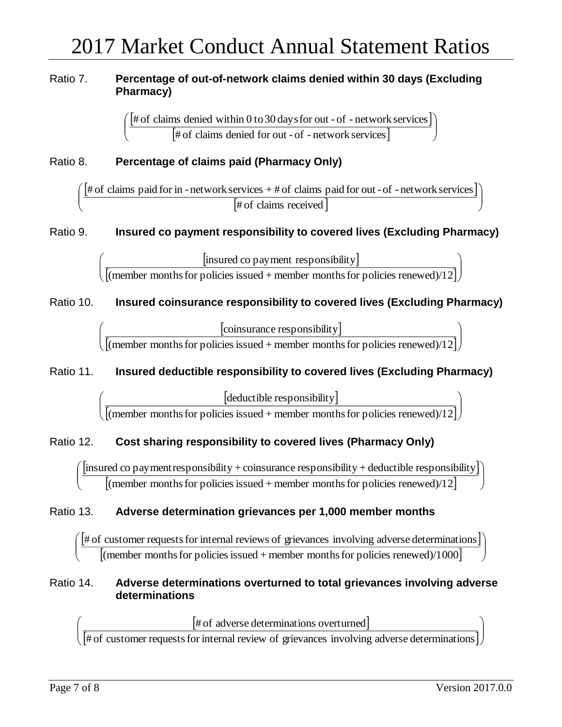## Ratio 7. **Percentage of out-of-network claims denied within 30 days (Excluding Pharmacy)**

 $\left[\text{\#} \text{ of claims denied within 0 to 30 days for out - of - network services}\right]$  $[$ # of claims denied for out - of - network services $]$   $\qquad$  $\backslash$  $\overline{\phantom{a}}$ J ſ # of claims denied for out - of - network services # of claims denied within 0 to30 daysfor out - of - network services

## Ratio 8. **Percentage of claims paid (Pharmacy Only)**

# of claims paid for in - network services  $+$  # of claims paid for out - of - network services |  $\frac{1}{2}$  of claims received  $\frac{1}{2}$ J  $\backslash$  $\overline{\phantom{a}}$  $\setminus$ ſ # of claims received # of claims paid for in - network services + # of claims paid for out -of - network services

## Ratio 9. **Insured co payment responsibility to covered lives (Excluding Pharmacy)**

insured co payment responsibility  $\frac{[{\text{m}} \sin{\alpha} \cos{p\alpha}] + [{\text{m}} \sin{\alpha}] + [{\text{m}} \sin{\alpha}] + [{\text{m}} \sin{\alpha}] + [{\text{m}} \sin{\alpha}] + [{\text{m}} \sin{\alpha}] + [{\text{m}} \sin{\alpha}] + [{\text{m}} \sin{\alpha}] + [{\text{m}} \sin{\alpha}] + [{\text{m}} \sin{\alpha}] + [{\text{m}} \sin{\alpha}] + [{\text{m}} \sin{\alpha}] + [{\text{m}} \sin{\alpha}] + [{\text{m}} \sin{\alpha}] + [{\text{m}} \sin{\alpha}] + [{\text{m}} \sin{\alpha}] + [{\text{m}} \sin{\alpha}] + [{\text{m}}$  $\setminus$ ſ (member months for policies issued  $+$  member months for policies renewed)/12 insured co payment responsibility

## Ratio 10. **Insured coinsurance responsibility to covered lives (Excluding Pharmacy)**

coinsurance responsibility  $\frac{[consurance$  (member months for policies issued + member months for policies renewed)/12]  $\int$  $\setminus$ (member months for policies issued + member months for policies renewed)/12 coinsurance responsibility

## Ratio 11. **Insured deductible responsibility to covered lives (Excluding Pharmacy)**

deductible responsibility  $\frac{[equationc \text{ response}]}{[(member \text{ months for policies issued} + \text{member} \text{ months for policies renewed})/12]}$  $\overline{\phantom{a}}$  $\overline{\phantom{a}}$  $\int$  $\setminus$  $\setminus$ ſ (member months for policies issued  $+$  member months for policies renewed)/12 deductible responsibility

## Ratio 12. **Cost sharing responsibility to covered lives (Pharmacy Only)**

 $\left[$ insured co payment responsibility + coinsurance responsibility + deductible responsibility $\left]$ [(member months for policies issued + member months for policies renewed)/12]  $\bigcup$ )  $\mathsf{L}$  $\mathsf{L}$ J ſ (member months for policies issued + member months for policies renewed)/12  $\,$ insured co payment responsibility <sup>+</sup> coinsurance responsibility <sup>+</sup> deductible responsibility

## Ratio 13. **Adverse determination grievances per 1,000 member months**

 $[$ # of customer requests for internal reviews of grievances involving adverse determinations $]$  $\frac{140}{100}$  customer requests for internal reviews of grievances involving adverse determinant<br>
[(member months for policies issued + member months for policies renewed)/1000] J  $\backslash$ l ſ (member months for policies issued  $+$  member months for policies renewed)/1000 # of customer requestsfor internal reviews of grievances involving adverse determinations

#### Ratio 14. **Adverse determinations overturned to total grievances involving adverse determinations**

[# of adverse determinations overturned] # of adverse determinations overturned

 $\left[\text{\#} \text{ of customer requests for internal review of givences involving adverse determinations}\right] )$  $\overline{\phantom{a}}$ l # of customer requestsfor internal review of grievances involving adverse determinations

ſ

 $\overline{\phantom{a}}$  $\setminus$ 

ſ

 $\backslash$ 

I

 $\overline{\phantom{a}}$  $\overline{\phantom{a}}$  $\int$ 

 $\setminus$